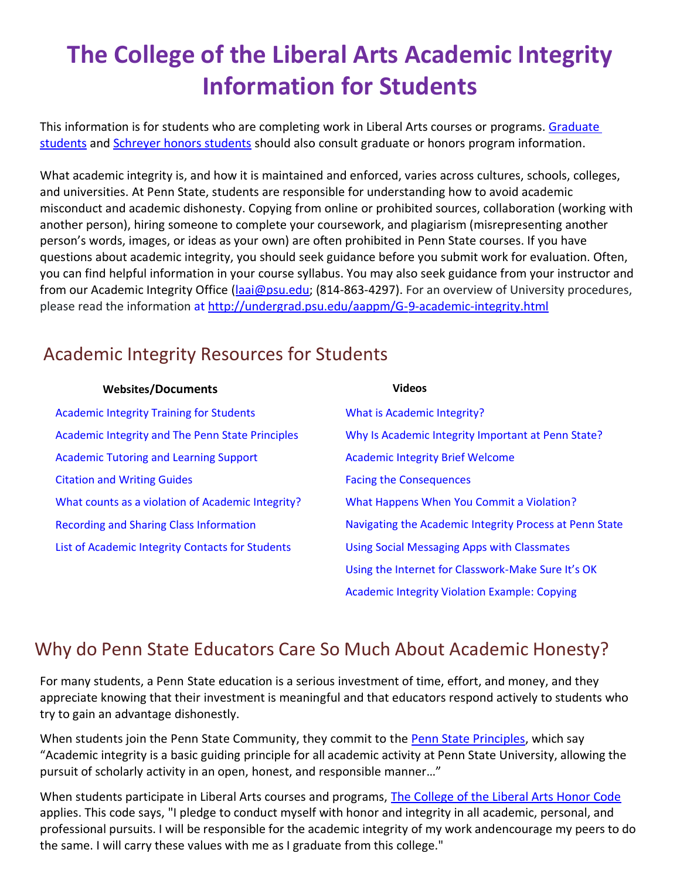# **The College of the Liberal Arts Academic Integrity Information for Students**

This information is for students who are completing work in Liberal Arts courses or programs[. Graduate](https://gradschool.psu.edu/graduate-education-policies/gcac/gcac-800/) [students](https://gradschool.psu.edu/graduate-education-policies/gcac/gcac-800/) and [Schreyer honors students](https://www.shc.psu.edu/academics/handbook/) should also consult graduate or honors program information.

What academic integrity is, and how it is maintained and enforced, varies across cultures, schools, colleges, and universities. At Penn State, students are responsible for understanding how to avoid academic misconduct and academic dishonesty. Copying from online or prohibited sources, collaboration (working with another person), hiring someone to complete your coursework, and plagiarism (misrepresenting another person's words, images, or ideas as your own) are often prohibited in Penn State courses. If you have questions about academic integrity, you should seek guidance before you submit work for evaluation. Often, you can find helpful information in your course syllabus. You may also seek guidance from your instructor and from our Academic Integrity Office [\(laai@psu.edu;](mailto:laai@psu.edu) (814-863-4297). For an overview of University procedures, please read the information at <http://undergrad.psu.edu/aappm/G-9-academic-integrity.html>

# Academic Integrity Resources for Students

| <b>Websites/Documents</b>                         | <b>Videos</b>                                           |
|---------------------------------------------------|---------------------------------------------------------|
| <b>Academic Integrity Training for Students</b>   | What is Academic Integrity?                             |
| Academic Integrity and The Penn State Principles  | Why Is Academic Integrity Important at Penn State?      |
| <b>Academic Tutoring and Learning Support</b>     | <b>Academic Integrity Brief Welcome</b>                 |
| <b>Citation and Writing Guides</b>                | <b>Facing the Consequences</b>                          |
| What counts as a violation of Academic Integrity? | What Happens When You Commit a Violation?               |
| <b>Recording and Sharing Class Information</b>    | Navigating the Academic Integrity Process at Penn State |
| List of Academic Integrity Contacts for Students  | <b>Using Social Messaging Apps with Classmates</b>      |
|                                                   | Using the Internet for Classwork-Make Sure It's OK      |

[Academic Integrity Violation Example: Copying](https://psu.mediaspace.kaltura.com/playlist/dedicated/173715661/1_f8za37og/1_81uymqf6)

#### Why do Penn State Educators Care So Much About Academic Honesty?

For many students, a Penn State education is a serious investment of time, effort, and money, and they appreciate knowing that their investment is meaningful and that educators respond actively to students who try to gain an advantage dishonestly.

When students join the Penn State Community, they commit to the [Penn State Principles,](https://admissions.psu.edu/pennstate/principles/) which say "Academic integrity is a basic guiding principle for all academic activity at Penn State University, allowing the pursuit of scholarly activity in an open, honest, and responsible manner…"

When students participate in Liberal Arts courses and programs, [The College of the Liberal Arts Honor Code](https://la.psu.edu/current-students/college-of-the-liberal-arts-honor-code) applies. This code says, "I pledge to conduct myself with honor and integrity in all academic, personal, and professional pursuits. I will be responsible for the academic integrity of my work andencourage my peers to do the same. I will carry these values with me as I graduate from this college."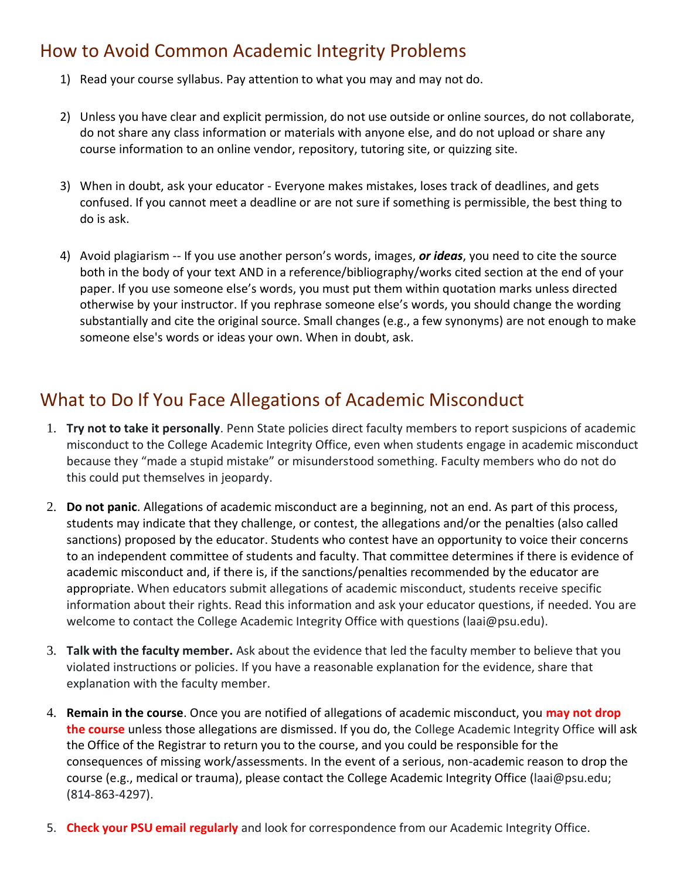### How to Avoid Common Academic Integrity Problems

- 1) Read your course syllabus. Pay attention to what you may and may not do.
- 2) Unless you have clear and explicit permission, do not use outside or online sources, do not collaborate, do not share any class information or materials with anyone else, and do not upload or share any course information to an online vendor, repository, tutoring site, or quizzing site.
- 3) When in doubt, ask your educator Everyone makes mistakes, loses track of deadlines, and gets confused. If you cannot meet a deadline or are not sure if something is permissible, the best thing to do is ask.
- 4) Avoid plagiarism -- If you use another person's words, images, *or ideas*, you need to cite the source both in the body of your text AND in a reference/bibliography/works cited section at the end of your paper. If you use someone else's words, you must put them within quotation marks unless directed otherwise by your instructor. If you rephrase someone else's words, you should change the wording substantially and cite the original source. Small changes (e.g., a few synonyms) are not enough to make someone else's words or ideas your own. When in doubt, ask.

### What to Do If You Face Allegations of Academic Misconduct

- 1. **Try not to take it personally**. Penn State policies direct faculty members to report suspicions of academic misconduct to the College Academic Integrity Office, even when students engage in academic misconduct because they "made a stupid mistake" or misunderstood something. Faculty members who do not do this could put themselves in jeopardy.
- 2. **Do not panic**. Allegations of academic misconduct are a beginning, not an end. As part of this process, students may indicate that they challenge, or contest, the allegations and/or the penalties (also called sanctions) proposed by the educator. Students who contest have an opportunity to voice their concerns to an independent committee of students and faculty. That committee determines if there is evidence of academic misconduct and, if there is, if the sanctions/penalties recommended by the educator are appropriate. When educators submit allegations of academic misconduct, students receive specific information about their rights. Read this information and ask your educator questions, if needed. You are welcome to contact the College Academic Integrity Office with questions [\(laai@psu.edu\)](mailto:laai@psu.edu).
- 3. **Talk with the faculty member.** Ask about the evidence that led the faculty member to believe that you violated instructions or policies. If you have a reasonable explanation for the evidence, share that explanation with the faculty member.
- 4. **Remain in the course**. Once you are notified of allegations of academic misconduct, you **may not drop the course** unless those allegations are dismissed. If you do, the College Academic Integrity Office will ask the Office of the Registrar to return you to the course, and you could be responsible for the consequences of missing work/assessments. In the event of a serious, non-academic reason to drop the course (e.g., medical or trauma), please contact the College Academic Integrity Office (laai@psu.edu; (814-863-4297).
- 5. **Check your PSU email regularly** and look for correspondence from our Academic Integrity Office.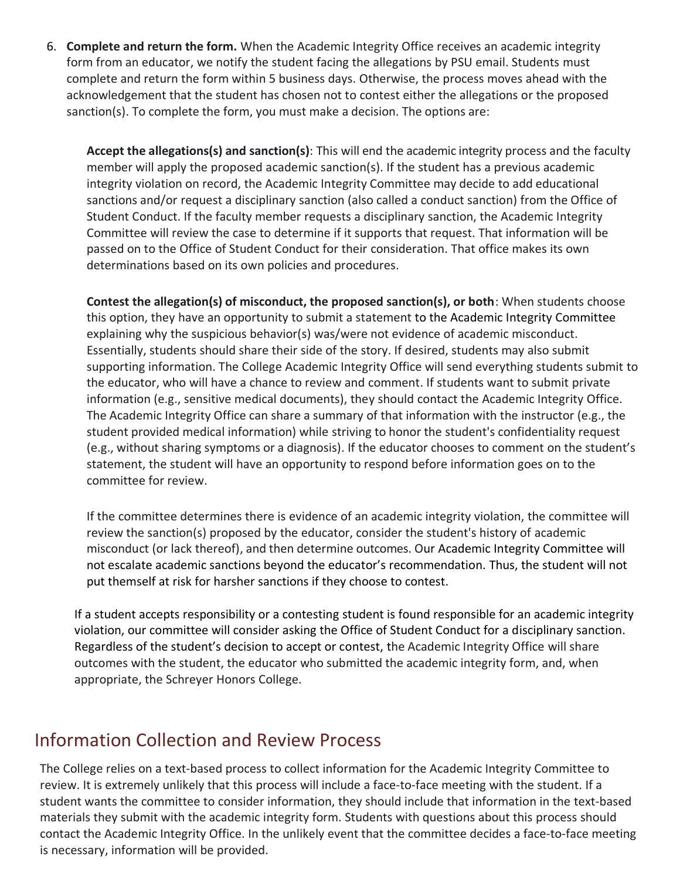6. **Complete and return the form.** When the Academic Integrity Office receives an academic integrity form from an educator, we notify the student facing the allegations by PSU email. Students must complete and return the form within 5 business days. Otherwise, the process moves ahead with the acknowledgement that the student has chosen not to contest either the allegations or the proposed sanction(s). To complete the form, you must make a decision. The options are:

**Accept the allegations(s) and sanction(s)**: This will end the academic integrity process and the faculty member will apply the proposed academic sanction(s). If the student has a previous academic integrity violation on record, the Academic Integrity Committee may decide to add educational sanctions and/or request a disciplinary sanction (also called a conduct sanction) from the Office of Student Conduct. If the faculty member requests a disciplinary sanction, the Academic Integrity Committee will review the case to determine if it supports that request. That information will be passed on to the Office of Student Conduct for their consideration. That office makes its own determinations based on its own policies and procedures.

**Contest the allegation(s) of misconduct, the proposed sanction(s), or both**: When students choose this option, they have an opportunity to submit a statement to the Academic Integrity Committee explaining why the suspicious behavior(s) was/were not evidence of academic misconduct. Essentially, students should share their side of the story. If desired, students may also submit supporting information. The College Academic Integrity Office will send everything students submit to the educator, who will have a chance to review and comment. If students want to submit private information (e.g., sensitive medical documents), they should contact the Academic Integrity Office. The Academic Integrity Office can share a summary of that information with the instructor (e.g., the student provided medical information) while striving to honor the student's confidentiality request (e.g., without sharing symptoms or a diagnosis). If the educator chooses to comment on the student's statement, the student will have an opportunity to respond before information goes on to the committee for review.

If the committee determines there is evidence of an academic integrity violation, the committee will review the sanction(s) proposed by the educator, consider the student's history of academic misconduct (or lack thereof), and then determine outcomes. Our Academic Integrity Committee will not escalate academic sanctions beyond the educator's recommendation. Thus, the student will not put themself at risk for harsher sanctions if they choose to contest.

If a student accepts responsibility or a contesting student is found responsible for an academic integrity violation, our committee will consider asking the Office of Student Conduct for a disciplinary sanction. Regardless of the student's decision to accept or contest, the Academic Integrity Office will share outcomes with the student, the educator who submitted the academic integrity form, and, when appropriate, the Schreyer Honors College.

#### Information Collection and Review Process

The College relies on a text-based process to collect information for the Academic Integrity Committee to review. It is extremely unlikely that this process will include a face-to-face meeting with the student. If a student wants the committee to consider information, they should include that information in the text-based materials they submit with the academic integrity form. Students with questions about this process should contact the Academic Integrity Office. In the unlikely event that the committee decides a face-to-face meeting is necessary, information will be provided.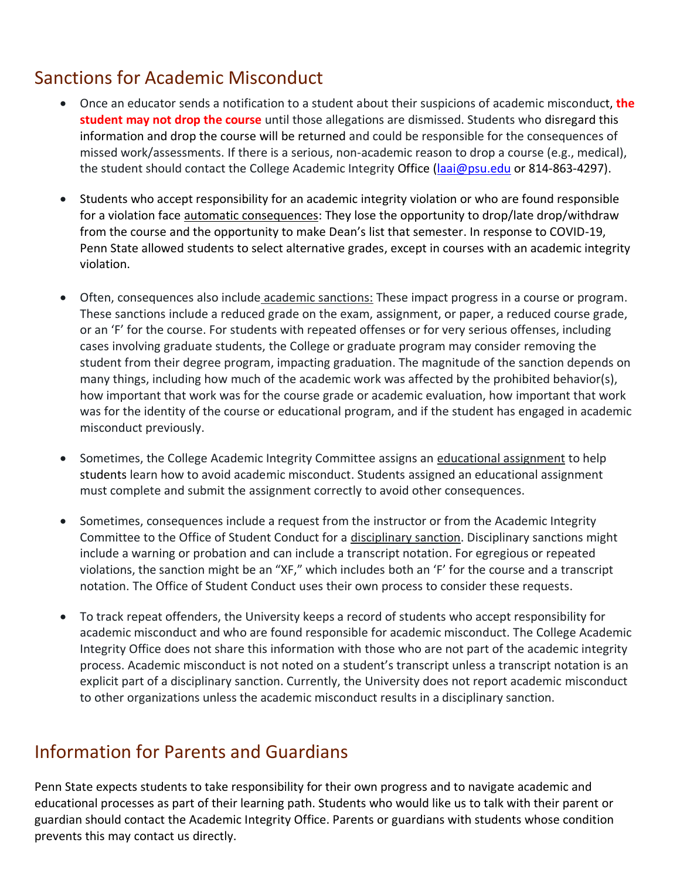# Sanctions for Academic Misconduct

- Once an educator sends a notification to a student about their suspicions of academic misconduct, **the student may not drop the course** until those allegations are dismissed. Students who disregard this information and drop the course will be returned and could be responsible for the consequences of missed work/assessments. If there is a serious, non-academic reason to drop a course (e.g., medical), the student should contact the College Academic Integrity Office [\(laai@psu.edu](mailto:laai@psu.edu) or 814-863-4297).
- Students who accept responsibility for an academic integrity violation or who are found responsible for a violation face automatic consequences: They lose the opportunity to drop/late drop/withdraw from the course and the opportunity to make Dean's list that semester. In response to COVID-19, Penn State allowed students to select alternative grades, except in courses with an academic integrity violation.
- Often, consequences also include academic sanctions: These impact progress in a course or program. These sanctions include a reduced grade on the exam, assignment, or paper, a reduced course grade, or an 'F' for the course. For students with repeated offenses or for very serious offenses, including cases involving graduate students, the College or graduate program may consider removing the student from their degree program, impacting graduation. The magnitude of the sanction depends on many things, including how much of the academic work was affected by the prohibited behavior(s), how important that work was for the course grade or academic evaluation, how important that work was for the identity of the course or educational program, and if the student has engaged in academic misconduct previously.
- Sometimes, the College Academic Integrity Committee assigns an educational assignment to help students learn how to avoid academic misconduct. Students assigned an educational assignment must complete and submit the assignment correctly to avoid other consequences.
- Sometimes, consequences include a request from the instructor or from the Academic Integrity Committee to the Office of Student Conduct for a disciplinary sanction. Disciplinary sanctions might include a warning or probation and can include a transcript notation. For egregious or repeated violations, the sanction might be an "XF," which includes both an 'F' for the course and a transcript notation. The Office of Student Conduct uses their own process to consider these requests.
- To track repeat offenders, the University keeps a record of students who accept responsibility for academic misconduct and who are found responsible for academic misconduct. The College Academic Integrity Office does not share this information with those who are not part of the academic integrity process. Academic misconduct is not noted on a student's transcript unless a transcript notation is an explicit part of a disciplinary sanction. Currently, the University does not report academic misconduct to other organizations unless the academic misconduct results in a disciplinary sanction.

## Information for Parents and Guardians

Penn State expects students to take responsibility for their own progress and to navigate academic and educational processes as part of their learning path. Students who would like us to talk with their parent or guardian should contact the Academic Integrity Office. Parents or guardians with students whose condition prevents this may contact us directly.